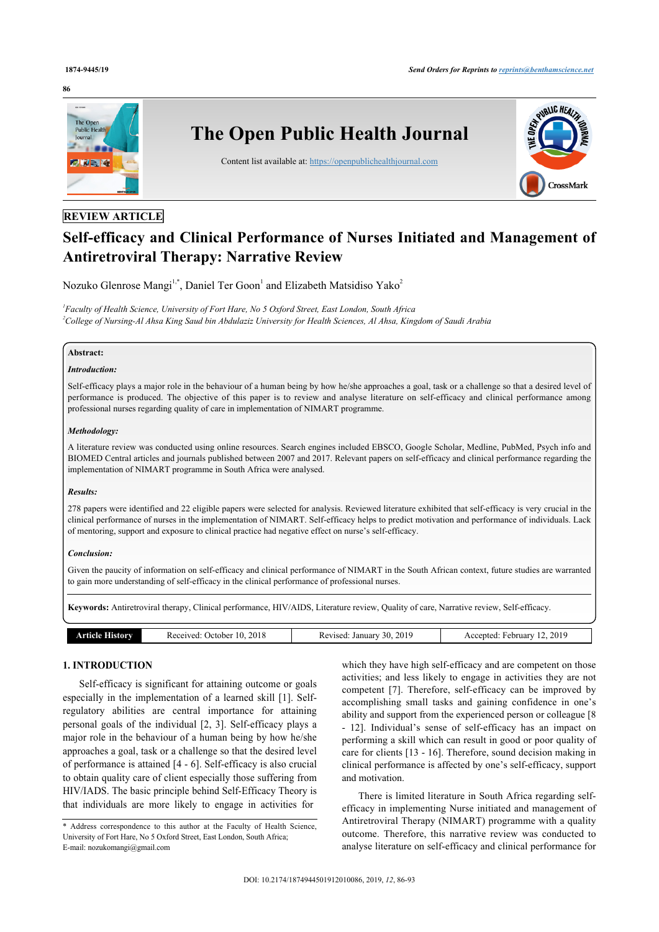#### **86**



# **REVIEW ARTICLE**

# **Self-efficacy and Clinical Performance of Nurses Initiated and Management of Antiretroviral Therapy: Narrative Review**

Nozuko Glenrose Mangi<sup>[1](#page-0-0),[\\*](#page-0-1)</sup>, Daniel Ter Goon<sup>1</sup> and Elizabeth Matsidiso Yako<sup>[2](#page-0-2)</sup>

<span id="page-0-2"></span><span id="page-0-0"></span>*1 Faculty of Health Science, University of Fort Hare, No 5 Oxford Street, East London, South Africa <sup>2</sup>College of Nursing-Al Ahsa King Saud bin Abdulaziz University for Health Sciences, Al Ahsa, Kingdom of Saudi Arabia*

## **Abstract:**

# *Introduction:*

Self-efficacy plays a major role in the behaviour of a human being by how he/she approaches a goal, task or a challenge so that a desired level of performance is produced. The objective of this paper is to review and analyse literature on self-efficacy and clinical performance among professional nurses regarding quality of care in implementation of NIMART programme.

#### *Methodology:*

A literature review was conducted using online resources. Search engines included EBSCO, Google Scholar, Medline, PubMed, Psych info and BIOMED Central articles and journals published between 2007 and 2017. Relevant papers on self-efficacy and clinical performance regarding the implementation of NIMART programme in South Africa were analysed.

#### *Results:*

278 papers were identified and 22 eligible papers were selected for analysis. Reviewed literature exhibited that self-efficacy is very crucial in the clinical performance of nurses in the implementation of NIMART. Self-efficacy helps to predict motivation and performance of individuals. Lack of mentoring, support and exposure to clinical practice had negative effect on nurse's self-efficacy.

# *Conclusion:*

Given the paucity of information on self-efficacy and clinical performance of NIMART in the South African context, future studies are warranted to gain more understanding of self-efficacy in the clinical performance of professional nurses.

**Keywords:** Antiretroviral therapy, Clinical performance, HIV/AIDS, Literature review, Quality of care, Narrative review, Self-efficacy.

|  | <b>TEXTS</b> | 201<br>acontrod<br>, )ctober<br>- 77<br>. .<br>.<br>.<br>. | $\sim$ $\sim$ $\sim$<br>201<br>Januar<br>-111<br>***18e.c.<br>n.<br>. | 2019<br>rebruar<br>ntec<br>``<br>____ |
|--|--------------|------------------------------------------------------------|-----------------------------------------------------------------------|---------------------------------------|
|--|--------------|------------------------------------------------------------|-----------------------------------------------------------------------|---------------------------------------|

# **1. INTRODUCTION**

Self-efficacy is significant for attaining outcome or goals especially in the implementation of a learned skill [[1\]](#page-6-0). Selfregulatory abilities are central importance for attaining personal goals of the individual [\[2,](#page-6-1) [3](#page-6-2)]. Self-efficacy plays a major role in the behaviour of a human being by how he/she approaches a goal, task or a challenge so that the desired level of performance is attained [[4](#page-6-3) - [6\]](#page-6-4). Self-efficacy is also crucial to obtain quality care of client especially those suffering from HIV/IADS. The basic principle behind Self-Efficacy Theory is that individuals are more likely to engage in activities for

which they have high self-efficacy and are competent on those activities; and less likely to engage in activities they are not competent [\[7\]](#page-6-5). Therefore, self-efficacy can be improved by accomplishing small tasks and gaining confidence in one's ability and support from the experienced person or colleague [\[8](#page-6-6) - [12](#page-6-7)]. Individual's sense of self-efficacy has an impact on performing a skill which can result in good or poor quality of care for clients [\[13](#page-6-8) - [16\]](#page-7-0). Therefore, sound decision making in clinical performance is affected by one's self-efficacy, support and motivation.

There is limited literature in South Africa regarding selfefficacy in implementing Nurse initiated and management of Antiretroviral Therapy (NIMART) programme with a quality outcome. Therefore, this narrative review was conducted to analyse literature on self-efficacy and clinical performance for

<span id="page-0-1"></span><sup>\*</sup> Address correspondence to this author at the Faculty of Health Science, University of Fort Hare, No 5 Oxford Street, East London, South Africa; E-mail: [nozukomangi@gmail.com](mailto:nozukomangi@gmail.com)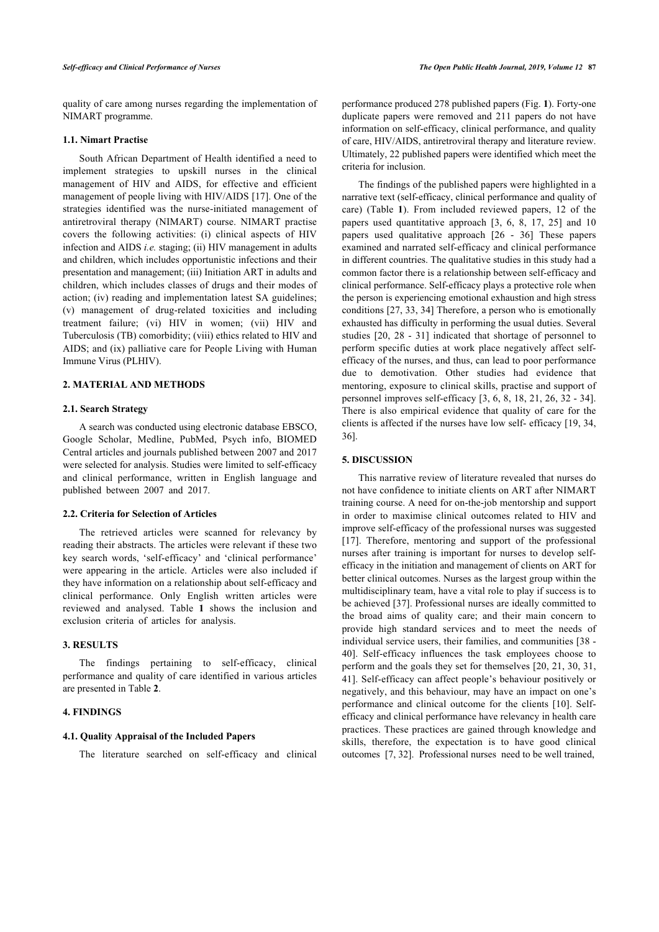quality of care among nurses regarding the implementation of NIMART programme.

# **1.1. Nimart Practise**

South African Department of Health identified a need to implement strategies to upskill nurses in the clinical management of HIV and AIDS, for effective and efficient management of people living with HIV/AIDS [[17\]](#page-7-1). One of the strategies identified was the nurse-initiated management of antiretroviral therapy (NIMART) course. NIMART practise covers the following activities: (i) clinical aspects of HIV infection and AIDS *i.e.* staging; (ii) HIV management in adults and children, which includes opportunistic infections and their presentation and management; (iii) Initiation ART in adults and children, which includes classes of drugs and their modes of action; (iv) reading and implementation latest SA guidelines; (v) management of drug-related toxicities and including treatment failure; (vi) HIV in women; (vii) HIV and Tuberculosis (TB) comorbidity; (viii) ethics related to HIV and AIDS; and (ix) palliative care for People Living with Human Immune Virus (PLHIV).

#### **2. MATERIAL AND METHODS**

#### **2.1. Search Strategy**

A search was conducted using electronic database EBSCO, Google Scholar, Medline, PubMed, Psych info, BIOMED Central articles and journals published between 2007 and 2017 were selected for analysis. Studies were limited to self-efficacy and clinical performance, written in English language and published between 2007 and 2017.

#### **2.2. Criteria for Selection of Articles**

The retrieved articles were scanned for relevancy by reading their abstracts. The articles were relevant if these two key search words, 'self-efficacy' and 'clinical performance' were appearing in the article. Articles were also included if they have information on a relationship about self-efficacy and clinical performance. Only English written articles were reviewed and analysed. Table**1** shows the inclusion and exclusion criteria of articles for analysis.

#### **3. RESULTS**

The findings pertaining to self-efficacy, clinical performance and quality of care identified in various articles are presented in Table **[2](#page-2-1)**.

# **4. FINDINGS**

# <span id="page-1-0"></span>**4.1. Quality Appraisal of the Included Papers**

The literature searched on self-efficacy and clinical

performance produced 278 published papers (Fig. **[1](#page-1-0)**). Forty-one duplicate papers were removed and 211 papers do not have information on self-efficacy, clinical performance, and quality of care, HIV/AIDS, antiretroviral therapy and literature review. Ultimately, 22 published papers were identified which meet the criteria for inclusion.

The findings of the published papers were highlighted in a narrative text (self-efficacy, clinical performance and quality of care) (Table**1**). From included reviewed papers, 12 of the papers used quantitative approach[[3,](#page-6-2) [6,](#page-6-4) [8,](#page-6-6) [17](#page-7-1), [25\]](#page-7-2) and 10 papers used qualitative approach[[26](#page-7-3) - [36\]](#page-6-9) These papers examined and narrated self-efficacy and clinical performance in different countries. The qualitative studies in this study had a common factor there is a relationship between self-efficacy and clinical performance. Self-efficacy plays a protective role when the person is experiencing emotional exhaustion and high stress conditions [\[27,](#page-7-4) [33](#page-7-5), [34](#page-7-6)] Therefore, a person who is emotionally exhausted has difficulty in performing the usual duties. Several studies [\[20](#page-7-7), [28](#page-7-8) - [31\]](#page-7-9) indicated that shortage of personnel to perform specific duties at work place negatively affect selfefficacy of the nurses, and thus, can lead to poor performance due to demotivation. Other studies had evidence that mentoring, exposure to clinical skills, practise and support of personnel improves self-efficacy [[3,](#page-6-2) [6](#page-6-4), [8,](#page-6-6) [18,](#page-7-10) [21,](#page-7-11) [26,](#page-7-3) [32](#page-7-12) - [34](#page-7-6)]. There is also empirical evidence that quality of care for the clients is affected if the nurses have low self- efficacy [\[19](#page-7-13), [34](#page-7-6), [36\]](#page-7-14).

# **5. DISCUSSION**

This narrative review of literature revealed that nurses do not have confidence to initiate clients on ART after NIMART training course. A need for on-the-job mentorship and support in order to maximise clinical outcomes related to HIV and improve self-efficacy of the professional nurses was suggested [[17](#page-7-1)]. Therefore, mentoring and support of the professional nurses after training is important for nurses to develop selfefficacy in the initiation and management of clients on ART for better clinical outcomes. Nurses as the largest group within the multidisciplinary team, have a vital role to play if success is to be achieved [\[37](#page-7-15)]. Professional nurses are ideally committed to the broad aims of quality care; and their main concern to provide high standard services and to meet the needs of individual service users, their families, and communities [[38](#page-7-16) - [40](#page-7-17)]. Self-efficacy influences the task employees choose to perform and the goals they set for themselves [[20,](#page-7-7) [21](#page-7-11), [30](#page-7-18), [31](#page-7-9), [41](#page-7-11)]. Self-efficacy can affect people's behaviour positively or negatively, and this behaviour, may have an impact on one's performance and clinical outcome for the clients [\[10\]](#page-6-10). Selfefficacy and clinical performance have relevancy in health care practices. These practices are gained through knowledge and skills, therefore, the expectation is to have good clinical outcomes [[7](#page-6-5), [32\]](#page-7-12). Professional nurses need to be well trained,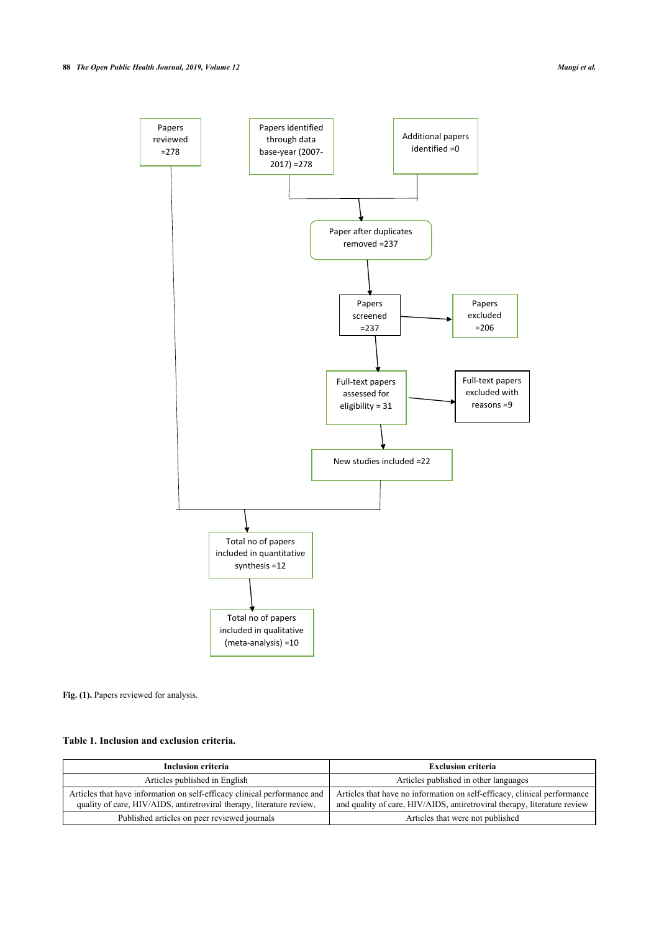

Fig. (1). Papers reviewed for analysis.

# <span id="page-2-0"></span>**Table 1. Inclusion and exclusion criteria.**

<span id="page-2-1"></span>

| <b>Inclusion criteria</b>                                                                                                                         | <b>Exclusion criteria</b>                                                                                                                            |
|---------------------------------------------------------------------------------------------------------------------------------------------------|------------------------------------------------------------------------------------------------------------------------------------------------------|
| Articles published in English                                                                                                                     | Articles published in other languages                                                                                                                |
| Articles that have information on self-efficacy clinical performance and<br>quality of care, HIV/AIDS, antiretroviral therapy, literature review, | Articles that have no information on self-efficacy, clinical performance<br>and quality of care, HIV/AIDS, antiretroviral therapy, literature review |
| Published articles on peer reviewed journals                                                                                                      | Articles that were not published                                                                                                                     |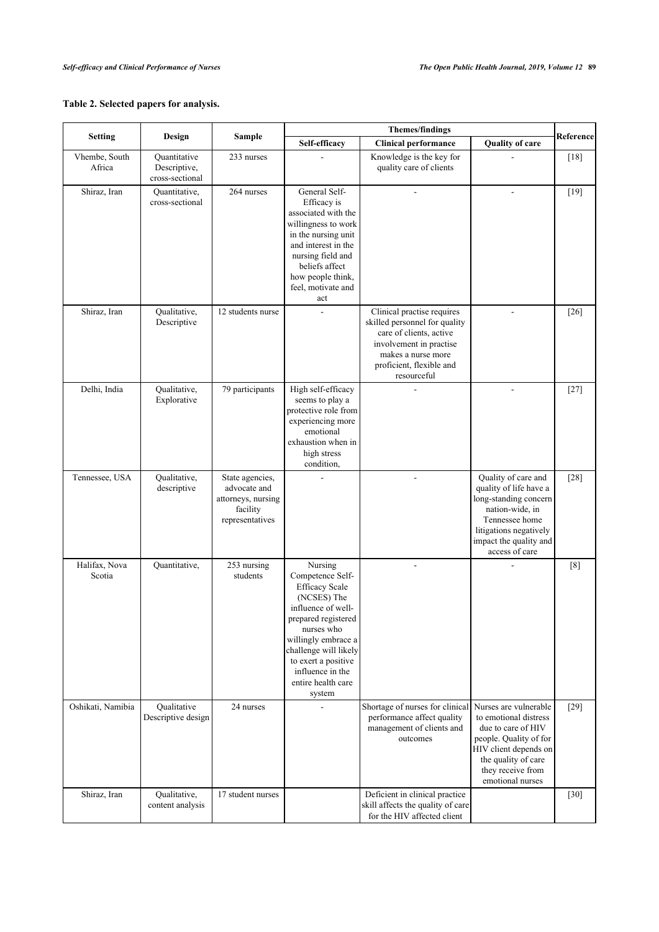# **Table 2. Selected papers for analysis.**

|                         | Design                                          | <b>Sample</b>                                                                        | <b>Themes/findings</b>                                                                                                                                                                                                                                    |                                                                                                                                                                                    |                                                                                                                                                                                         |           |
|-------------------------|-------------------------------------------------|--------------------------------------------------------------------------------------|-----------------------------------------------------------------------------------------------------------------------------------------------------------------------------------------------------------------------------------------------------------|------------------------------------------------------------------------------------------------------------------------------------------------------------------------------------|-----------------------------------------------------------------------------------------------------------------------------------------------------------------------------------------|-----------|
| <b>Setting</b>          |                                                 |                                                                                      | Self-efficacy                                                                                                                                                                                                                                             | <b>Clinical performance</b>                                                                                                                                                        | <b>Quality of care</b>                                                                                                                                                                  | Reference |
| Vhembe, South<br>Africa | Quantitative<br>Descriptive,<br>cross-sectional | 233 nurses                                                                           |                                                                                                                                                                                                                                                           | Knowledge is the key for<br>quality care of clients                                                                                                                                |                                                                                                                                                                                         | $[18]$    |
| Shiraz, Iran            | Ouantitative,<br>cross-sectional                | 264 nurses                                                                           | General Self-<br>Efficacy is<br>associated with the<br>willingness to work<br>in the nursing unit<br>and interest in the<br>nursing field and<br>beliefs affect<br>how people think,<br>feel, motivate and<br>act                                         | L.                                                                                                                                                                                 | $\blacksquare$                                                                                                                                                                          | $[19]$    |
| Shiraz, Iran            | Qualitative,<br>Descriptive                     | 12 students nurse                                                                    |                                                                                                                                                                                                                                                           | Clinical practise requires<br>skilled personnel for quality<br>care of clients, active<br>involvement in practise<br>makes a nurse more<br>proficient, flexible and<br>resourceful |                                                                                                                                                                                         | $[26]$    |
| Delhi, India            | Qualitative,<br>Explorative                     | 79 participants                                                                      | High self-efficacy<br>seems to play a<br>protective role from<br>experiencing more<br>emotional<br>exhaustion when in<br>high stress<br>condition,                                                                                                        |                                                                                                                                                                                    | $\overline{a}$                                                                                                                                                                          | $[27]$    |
| Tennessee, USA          | Qualitative,<br>descriptive                     | State agencies,<br>advocate and<br>attorneys, nursing<br>facility<br>representatives |                                                                                                                                                                                                                                                           | L.                                                                                                                                                                                 | Quality of care and<br>quality of life have a<br>long-standing concern<br>nation-wide, in<br>Tennessee home<br>litigations negatively<br>impact the quality and<br>access of care       | $[28]$    |
| Halifax, Nova<br>Scotia | Quantitative,                                   | 253 nursing<br>students                                                              | Nursing<br>Competence Self-<br><b>Efficacy Scale</b><br>(NCSES) The<br>influence of well-<br>prepared registered<br>nurses who<br>willingly embrace a<br>challenge will likely<br>to exert a positive<br>influence in the<br>entire health care<br>system |                                                                                                                                                                                    |                                                                                                                                                                                         | [8]       |
| Oshikati, Namibia       | Qualitative<br>Descriptive design               | 24 nurses                                                                            |                                                                                                                                                                                                                                                           | Shortage of nurses for clinical<br>performance affect quality<br>management of clients and<br>outcomes                                                                             | Nurses are vulnerable<br>to emotional distress<br>due to care of HIV<br>people. Quality of for<br>HIV client depends on<br>the quality of care<br>they receive from<br>emotional nurses | $[29]$    |
| Shiraz, Iran            | Qualitative,<br>content analysis                | 17 student nurses                                                                    |                                                                                                                                                                                                                                                           | Deficient in clinical practice<br>skill affects the quality of care<br>for the HIV affected client                                                                                 |                                                                                                                                                                                         | $[30]$    |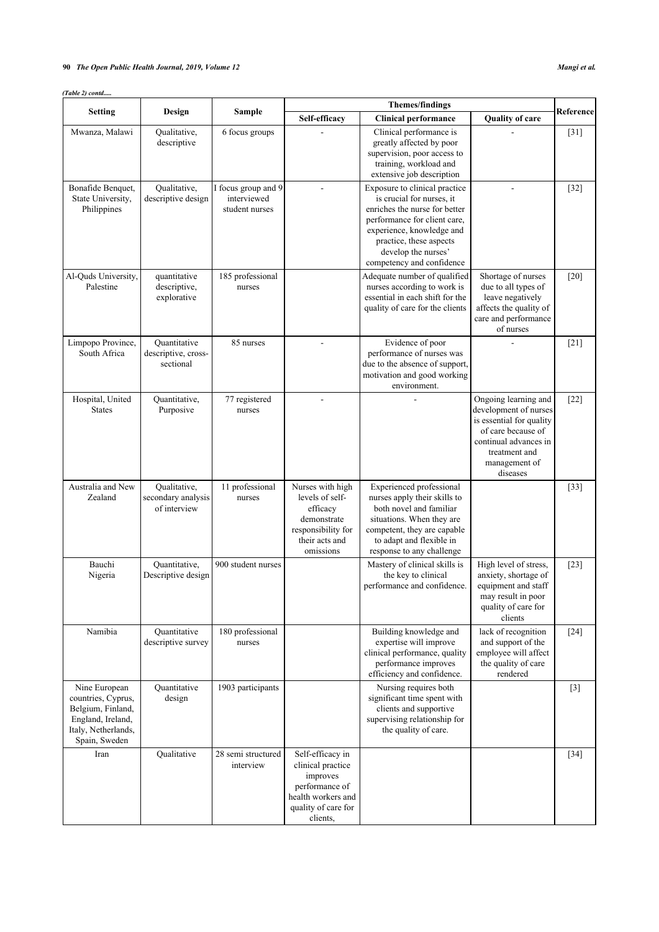# **90** *The Open Public Health Journal, 2019, Volume 12 Mangi et al.*

*(Table 2) contd.....*

|                                                                                                                       |                                                    |                                                      | <b>Themes/findings</b>                                                                                                       |                                                                                                                                                                                                                                         | Reference                                                                                                                                                              |        |
|-----------------------------------------------------------------------------------------------------------------------|----------------------------------------------------|------------------------------------------------------|------------------------------------------------------------------------------------------------------------------------------|-----------------------------------------------------------------------------------------------------------------------------------------------------------------------------------------------------------------------------------------|------------------------------------------------------------------------------------------------------------------------------------------------------------------------|--------|
| <b>Setting</b>                                                                                                        | Design                                             | <b>Sample</b>                                        | Self-efficacy                                                                                                                | <b>Clinical performance</b>                                                                                                                                                                                                             | <b>Quality of care</b>                                                                                                                                                 |        |
| Mwanza, Malawi                                                                                                        | Qualitative,<br>descriptive                        | 6 focus groups                                       |                                                                                                                              | Clinical performance is<br>greatly affected by poor<br>supervision, poor access to<br>training, workload and<br>extensive job description                                                                                               |                                                                                                                                                                        | $[31]$ |
| Bonafide Benquet,<br>State University,<br>Philippines                                                                 | Qualitative,<br>descriptive design                 | I focus group and 9<br>interviewed<br>student nurses |                                                                                                                              | Exposure to clinical practice<br>is crucial for nurses, it<br>enriches the nurse for better<br>performance for client care.<br>experience, knowledge and<br>practice, these aspects<br>develop the nurses'<br>competency and confidence |                                                                                                                                                                        | $[32]$ |
| Al-Quds University,<br>Palestine                                                                                      | quantitative<br>descriptive,<br>explorative        | 185 professional<br>nurses                           |                                                                                                                              | Adequate number of qualified<br>nurses according to work is<br>essential in each shift for the<br>quality of care for the clients                                                                                                       | Shortage of nurses<br>due to all types of<br>leave negatively<br>affects the quality of<br>care and performance<br>of nurses                                           | $[20]$ |
| Limpopo Province,<br>South Africa                                                                                     | Ouantitative<br>descriptive, cross-<br>sectional   | 85 nurses                                            |                                                                                                                              | Evidence of poor<br>performance of nurses was<br>due to the absence of support,<br>motivation and good working<br>environment.                                                                                                          |                                                                                                                                                                        | $[21]$ |
| Hospital, United<br><b>States</b>                                                                                     | Quantitative,<br>Purposive                         | 77 registered<br>nurses                              |                                                                                                                              |                                                                                                                                                                                                                                         | Ongoing learning and<br>development of nurses<br>is essential for quality<br>of care because of<br>continual advances in<br>treatment and<br>management of<br>diseases | $[22]$ |
| Australia and New<br>Zealand                                                                                          | Qualitative,<br>secondary analysis<br>of interview | 11 professional<br>nurses                            | Nurses with high<br>levels of self-<br>efficacy<br>demonstrate<br>responsibility for<br>their acts and<br>omissions          | Experienced professional<br>nurses apply their skills to<br>both novel and familiar<br>situations. When they are<br>competent, they are capable<br>to adapt and flexible in<br>response to any challenge                                |                                                                                                                                                                        | $[33]$ |
| Bauchi<br>Nigeria                                                                                                     | Quantitative,<br>Descriptive design                | 900 student nurses                                   |                                                                                                                              | Mastery of clinical skills is<br>the key to clinical<br>performance and confidence.                                                                                                                                                     | High level of stress,<br>anxiety, shortage of<br>equipment and staff<br>may result in poor<br>quality of care for<br>clients                                           | $[23]$ |
| Namibia                                                                                                               | Quantitative<br>descriptive survey                 | 180 professional<br>nurses                           |                                                                                                                              | Building knowledge and<br>expertise will improve<br>clinical performance, quality<br>performance improves<br>efficiency and confidence.                                                                                                 | lack of recognition<br>and support of the<br>employee will affect<br>the quality of care<br>rendered                                                                   | $[24]$ |
| Nine European<br>countries, Cyprus,<br>Belgium, Finland,<br>England, Ireland,<br>Italy, Netherlands,<br>Spain, Sweden | Quantitative<br>design                             | 1903 participants                                    |                                                                                                                              | Nursing requires both<br>significant time spent with<br>clients and supportive<br>supervising relationship for<br>the quality of care.                                                                                                  |                                                                                                                                                                        | $[3]$  |
| Iran                                                                                                                  | Qualitative                                        | 28 semi structured<br>interview                      | Self-efficacy in<br>clinical practice<br>improves<br>performance of<br>health workers and<br>quality of care for<br>clients, |                                                                                                                                                                                                                                         |                                                                                                                                                                        | $[34]$ |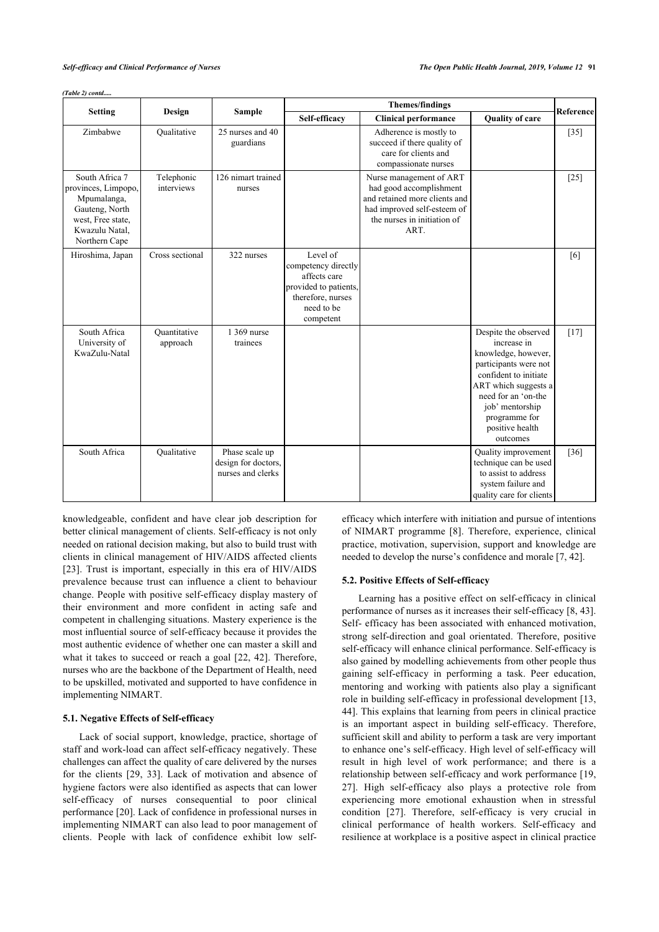|  | (Table 2) contd |
|--|-----------------|
|  |                 |

|                                                                                                                                | <b>Themes/findings</b><br><b>Sample</b> |                                                            |                                                                                                                          | <b>Reference</b>                                                                                                                                          |                                                                                                                                                                                                                                |        |
|--------------------------------------------------------------------------------------------------------------------------------|-----------------------------------------|------------------------------------------------------------|--------------------------------------------------------------------------------------------------------------------------|-----------------------------------------------------------------------------------------------------------------------------------------------------------|--------------------------------------------------------------------------------------------------------------------------------------------------------------------------------------------------------------------------------|--------|
| <b>Setting</b>                                                                                                                 | Design                                  |                                                            | Self-efficacy                                                                                                            | <b>Clinical performance</b>                                                                                                                               | <b>Quality of care</b>                                                                                                                                                                                                         |        |
| Zimbabwe                                                                                                                       | Qualitative                             | 25 nurses and 40<br>guardians                              |                                                                                                                          | Adherence is mostly to<br>succeed if there quality of<br>care for clients and<br>compassionate nurses                                                     |                                                                                                                                                                                                                                | $[35]$ |
| South Africa 7<br>provinces, Limpopo,<br>Mpumalanga,<br>Gauteng, North<br>west, Free state,<br>Kwazulu Natal,<br>Northern Cape | Telephonic<br>interviews                | 126 nimart trained<br>nurses                               |                                                                                                                          | Nurse management of ART<br>had good accomplishment<br>and retained more clients and<br>had improved self-esteem of<br>the nurses in initiation of<br>ART. |                                                                                                                                                                                                                                | $[25]$ |
| Hiroshima, Japan                                                                                                               | Cross sectional                         | 322 nurses                                                 | Level of<br>competency directly<br>affects care<br>provided to patients,<br>therefore, nurses<br>need to be<br>competent |                                                                                                                                                           |                                                                                                                                                                                                                                | [6]    |
| South Africa<br>University of<br>KwaZulu-Natal                                                                                 | Quantitative<br>approach                | 1 369 nurse<br>trainees                                    |                                                                                                                          |                                                                                                                                                           | Despite the observed<br>increase in<br>knowledge, however,<br>participants were not<br>confident to initiate<br>ART which suggests a<br>need for an 'on-the<br>job' mentorship<br>programme for<br>positive health<br>outcomes | $[17]$ |
| South Africa                                                                                                                   | Qualitative                             | Phase scale up<br>design for doctors,<br>nurses and clerks |                                                                                                                          |                                                                                                                                                           | Quality improvement<br>technique can be used<br>to assist to address<br>system failure and<br>quality care for clients                                                                                                         | $[36]$ |

knowledgeable, confident and have clear job description for better clinical management of clients. Self-efficacy is not only needed on rational decision making, but also to build trust with clients in clinical management of HIV/AIDS affected clients [[23\]](#page-7-21). Trust is important, especially in this era of HIV/AIDS prevalence because trust can influence a client to behaviour change. People with positive self-efficacy display mastery of their environment and more confident in acting safe and competent in challenging situations. Mastery experience is the most influential source of self-efficacy because it provides the most authentic evidence of whether one can master a skill and what it takes to succeed or reach a goal [[22](#page-7-20), [42\]](#page-7-24). Therefore, nurses who are the backbone of the Department of Health, need to be upskilled, motivated and supported to have confidence in implementing NIMART.

# **5.1. Negative Effects of Self-efficacy**

Lack of social support, knowledge, practice, shortage of staff and work-load can affect self-efficacy negatively. These challenges can affect the quality of care delivered by the nurses for the clients [\[29,](#page-7-19) [33\]](#page-7-5). Lack of motivation and absence of hygiene factors were also identified as aspects that can lower self-efficacy of nurses consequential to poor clinical performance [[20](#page-7-7)]. Lack of confidence in professional nurses in implementing NIMART can also lead to poor management of clients. People with lack of confidence exhibit low selfefficacy which interfere with initiation and pursue of intentions of NIMART programme [\[8\]](#page-6-6). Therefore, experience, clinical practice, motivation, supervision, support and knowledge are needed to develop the nurse's confidence and morale [\[7,](#page-6-5) [42](#page-7-24)].

#### **5.2. Positive Effects of Self-efficacy**

Learning has a positive effect on self-efficacy in clinical performance of nurses as it increases their self-efficacy [\[8,](#page-6-6) [43](#page-7-25)]. Self- efficacy has been associated with enhanced motivation, strong self-direction and goal orientated. Therefore, positive self-efficacy will enhance clinical performance. Self-efficacy is also gained by modelling achievements from other people thus gaining self-efficacy in performing a task. Peer education, mentoring and working with patients also play a significant role in building self-efficacy in professional development [\[13](#page-6-8), [44](#page-7-2)]. This explains that learning from peers in clinical practice is an important aspect in building self-efficacy. Therefore, sufficient skill and ability to perform a task are very important to enhance one's self-efficacy. High level of self-efficacy will result in high level of work performance; and there is a relationship between self-efficacy and work performance [\[19](#page-7-13), [27](#page-7-4)]. High self-efficacy also plays a protective role from experiencing more emotional exhaustion when in stressful condition [\[27](#page-7-4)]. Therefore, self-efficacy is very crucial in clinical performance of health workers. Self-efficacy and resilience at workplace is a positive aspect in clinical practice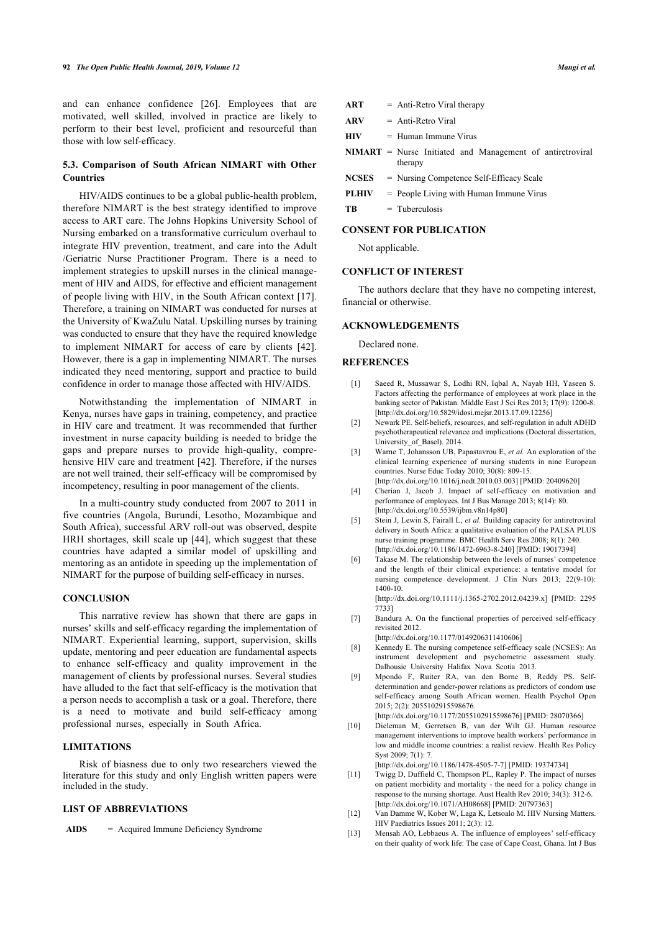and can enhance confidence[[26\]](#page-7-3). Employees that are motivated, well skilled, involved in practice are likely to perform to their best level, proficient and resourceful than those with low self-efficacy.

# **5.3. Comparison of South African NIMART with Other Countries**

HIV/AIDS continues to be a global public-health problem, therefore NIMART is the best strategy identified to improve access to ART care. The Johns Hopkins University School of Nursing embarked on a transformative curriculum overhaul to integrate HIV prevention, treatment, and care into the Adult /Geriatric Nurse Practitioner Program. There is a need to implement strategies to upskill nurses in the clinical management of HIV and AIDS, for effective and efficient management of people living with HIV, in the South African context [[17\]](#page-7-1). Therefore, a training on NIMART was conducted for nurses at the University of KwaZulu Natal. Upskilling nurses by training was conducted to ensure that they have the required knowledge to implement NIMART for access of care by clients[[42\]](#page-7-24). However, there is a gap in implementing NIMART. The nurses indicated they need mentoring, support and practice to build confidence in order to manage those affected with HIV/AIDS.

<span id="page-6-2"></span><span id="page-6-1"></span><span id="page-6-0"></span>Notwithstanding the implementation of NIMART in Kenya, nurses have gaps in training, competency, and practice in HIV care and treatment. It was recommended that further investment in nurse capacity building is needed to bridge the gaps and prepare nurses to provide high-quality, compre-hensive HIV care and treatment [[42\]](#page-7-24). Therefore, if the nurses are not well trained, their self-efficacy will be compromised by incompetency, resulting in poor management of the clients.

<span id="page-6-3"></span>In a multi-country study conducted from 2007 to 2011 in five countries (Angola, Burundi, Lesotho, Mozambique and South Africa), successful ARV roll-out was observed, despite HRH shortages, skill scale up [[44](#page-7-2)], which suggest that these countries have adapted a similar model of upskilling and mentoring as an antidote in speeding up the implementation of NIMART for the purpose of building self-efficacy in nurses.

#### <span id="page-6-4"></span>**CONCLUSION**

<span id="page-6-9"></span><span id="page-6-6"></span><span id="page-6-5"></span>This narrative review has shown that there are gaps in nurses' skills and self-efficacy regarding the implementation of NIMART. Experiential learning, support, supervision, skills update, mentoring and peer education are fundamental aspects to enhance self-efficacy and quality improvement in the management of clients by professional nurses. Several studies have alluded to the fact that self-efficacy is the motivation that a person needs to accomplish a task or a goal. Therefore, there is a need to motivate and build self-efficacy among professional nurses, especially in South Africa.

# <span id="page-6-10"></span>**LIMITATIONS**

Risk of biasness due to only two researchers viewed the literature for this study and only English written papers were included in the study.

# <span id="page-6-7"></span>**LIST OF ABBREVIATIONS**

<span id="page-6-8"></span>**AIDS** = Acquired Immune Deficiency Syndrome

| ART | Anti-Retro Viral therapy |
|-----|--------------------------|
|-----|--------------------------|

- **ARV** = Anti-Retro Viral
- **HIV** = Human Immune Virus
- **NIMART** = Nurse Initiated and Management of antiretroviral therapy
- **NCSES** = Nursing Competence Self-Efficacy Scale
- **PLHIV** = People Living with Human Immune Virus

 $TR =$  Tuberculosis

#### **CONSENT FOR PUBLICATION**

Not applicable.

# **CONFLICT OF INTEREST**

The authors declare that they have no competing interest, financial or otherwise.

#### **ACKNOWLEDGEMENTS**

Declared none.

# **REFERENCES**

- [1] Saeed R, Mussawar S, Lodhi RN, Iqbal A, Nayab HH, Yaseen S. Factors affecting the performance of employees at work place in the banking sector of Pakistan. Middle East J Sci Res 2013; 17(9): 1200-8. [\[http://dx.doi.org/10.5829/idosi.mejsr.2013.17.09.12256\]](http://dx.doi.org/10.5829/idosi.mejsr.2013.17.09.12256)
- [2] Newark PE. Self-beliefs, resources, and self-regulation in adult ADHD psychotherapeutical relevance and implications (Doctoral dissertation, University\_of\_Basel). 2014.
- [3] Warne T, Johansson UB, Papastavrou E, *et al.* An exploration of the clinical learning experience of nursing students in nine European countries. Nurse Educ Today 2010; 30(8): 809-15. [\[http://dx.doi.org/10.1016/j.nedt.2010.03.003\]](http://dx.doi.org/10.1016/j.nedt.2010.03.003) [PMID: [20409620\]](http://www.ncbi.nlm.nih.gov/pubmed/20409620)
- [4] Cherian J, Jacob J. Impact of self-efficacy on motivation and performance of employees. Int J Bus Manage 2013; 8(14): 80.  $[$ http://dx.doi.org/10.5539/ijbm.v8n14p801
- [5] Stein J, Lewin S, Fairall L, et al. Building capacity for antiretroviral delivery in South Africa: a qualitative evaluation of the PALSA PLUS nurse training programme. BMC Health Serv Res 2008; 8(1): 240. [\[http://dx.doi.org/10.1186/1472-6963-8-240](http://dx.doi.org/10.1186/1472-6963-8-240)] [PMID: [19017394](http://www.ncbi.nlm.nih.gov/pubmed/19017394)]
- [6] Takase M. The relationship between the levels of nurses' competence and the length of their clinical experience: a tentative model for nursing competence development. J Clin Nurs 2013; 22(9-10): 1400-10. [\[http://dx.doi.org/10.1111/j.1365-2702.2012.04239.x](http://dx.doi.org/10.1111/j.1365-2702.2012.04239.x)] [PMID: [2295](http://www.ncbi.nlm.nih.gov/pubmed/2295%207733)]

[7733\]](http://www.ncbi.nlm.nih.gov/pubmed/2295%207733)

- [7] Bandura A. On the functional properties of perceived self-efficacy revisited 2012.
- [\[http://dx.doi.org/10.1177/0149206311410606](http://dx.doi.org/10.1177/0149206311410606)] [8] Kennedy E. The nursing competence self-efficacy scale (NCSES): An
- instrument development and psychometric assessment study. Dalhousie University Halifax Nova Scotia 2013.
- [9] Mpondo F, Ruiter RA, van den Borne B, Reddy PS. Selfdetermination and gender-power relations as predictors of condom use self-efficacy among South African women. Health Psychol Open 2015; 2(2): 2055102915598676.
- [\[http://dx.doi.org/10.1177/2055102915598676](http://dx.doi.org/10.1177/2055102915598676)] [PMID: [28070366](http://www.ncbi.nlm.nih.gov/pubmed/28070366)]
- [10] Dieleman M, Gerretsen B, van der Wilt GJ. Human resource management interventions to improve health workers' performance in low and middle income countries: a realist review. Health Res Policy Syst 2009; 7(1): 7.

[\[http://dx.doi.org/10.1186/1478-4505-7-7](http://dx.doi.org/10.1186/1478-4505-7-7)] [PMID: [19374734](http://www.ncbi.nlm.nih.gov/pubmed/19374734)]

- [11] Twigg D, Duffield C, Thompson PL, Rapley P. The impact of nurses on patient morbidity and mortality - the need for a policy change in response to the nursing shortage. Aust Health Rev 2010; 34(3): 312-6. [\[http://dx.doi.org/10.1071/AH08668](http://dx.doi.org/10.1071/AH08668)] [PMID: [20797363\]](http://www.ncbi.nlm.nih.gov/pubmed/20797363)
- [12] Van Damme W, Kober W, Laga K, Letsoalo M. HIV Nursing Matters. HIV Paediatrics Issues 2011; 2(3): 12.
- [13] Mensah AO, Lebbaeus A. The influence of employees' self-efficacy on their quality of work life: The case of Cape Coast, Ghana. Int J Bus